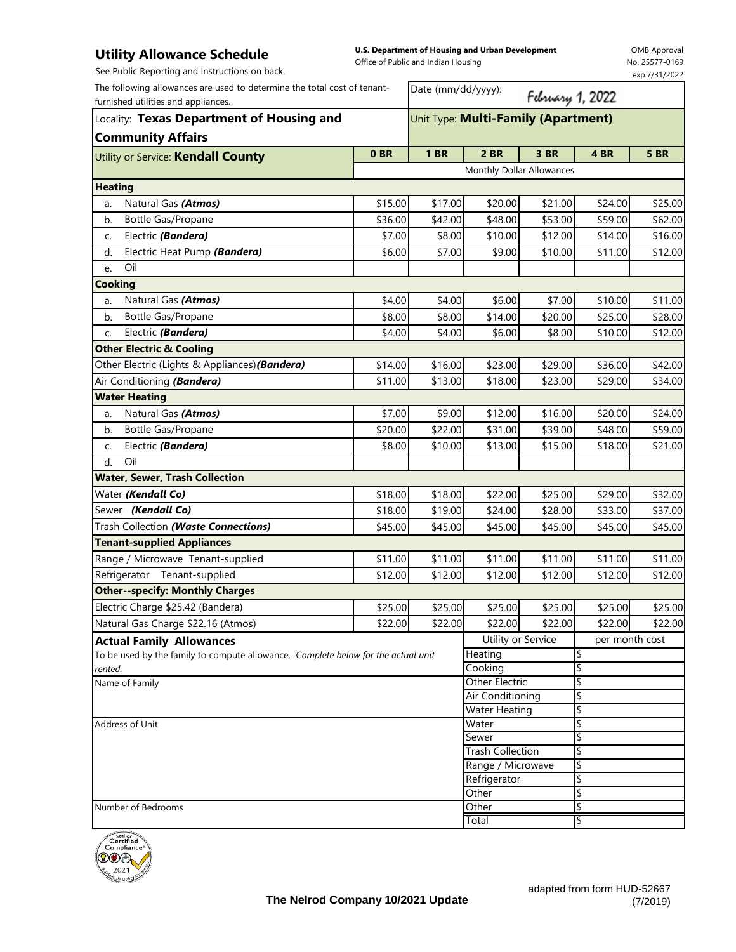## **Utility Allowance Schedule**

| <b>Utility Allowance Schedule</b><br>See Public Reporting and Instructions on back.                                                                          |                 | Office of Public and Indian Housing | U.S. Department of Housing and Urban Development |                  |          | <b>OMB Approval</b><br>No. 25577-0169<br>exp.7/31/2022 |
|--------------------------------------------------------------------------------------------------------------------------------------------------------------|-----------------|-------------------------------------|--------------------------------------------------|------------------|----------|--------------------------------------------------------|
| The following allowances are used to determine the total cost of tenant-<br>furnished utilities and appliances.<br>Locality: Texas Department of Housing and |                 | Date (mm/dd/yyyy):                  |                                                  | February 1, 2022 |          |                                                        |
|                                                                                                                                                              |                 | Unit Type: Multi-Family (Apartment) |                                                  |                  |          |                                                        |
| <b>Community Affairs</b>                                                                                                                                     |                 |                                     |                                                  |                  |          |                                                        |
| Utility or Service: Kendall County                                                                                                                           | 0 <sub>BR</sub> | <b>1 BR</b>                         | <b>2 BR</b>                                      | 3 BR             | 4 BR     | <b>5 BR</b>                                            |
|                                                                                                                                                              |                 |                                     | Monthly Dollar Allowances                        |                  |          |                                                        |
| <b>Heating</b>                                                                                                                                               |                 |                                     |                                                  |                  |          |                                                        |
| Natural Gas (Atmos)<br>a.                                                                                                                                    | \$15.00         | \$17.00                             | \$20.00                                          | \$21.00          | \$24.00  | \$25.00                                                |
| <b>Bottle Gas/Propane</b><br>b.                                                                                                                              | \$36.00         | \$42.00                             | \$48.00                                          | \$53.00          | \$59.00  | \$62.00                                                |
| Electric (Bandera)<br>c.                                                                                                                                     | \$7.00          | \$8.00                              | \$10.00                                          | \$12.00          | \$14.00  | \$16.00                                                |
| Electric Heat Pump (Bandera)<br>d.                                                                                                                           | \$6.00          | \$7.00                              | \$9.00                                           | \$10.00          | \$11.00  | \$12.00                                                |
| Oil<br>e.                                                                                                                                                    |                 |                                     |                                                  |                  |          |                                                        |
| <b>Cooking</b>                                                                                                                                               |                 |                                     |                                                  |                  |          |                                                        |
| Natural Gas (Atmos)<br>a.                                                                                                                                    | \$4.00          | \$4.00                              | \$6.00                                           | \$7.00           | \$10.00  | \$11.00                                                |
| <b>Bottle Gas/Propane</b><br>b.                                                                                                                              | \$8.00          | \$8.00                              | \$14.00                                          | \$20.00          | \$25.00  | \$28.00                                                |
| Electric (Bandera)<br>c.                                                                                                                                     | \$4.00          | \$4.00                              | \$6.00                                           | \$8.00           | \$10.00  | \$12.00                                                |
| <b>Other Electric &amp; Cooling</b>                                                                                                                          |                 |                                     |                                                  |                  |          |                                                        |
| Other Electric (Lights & Appliances) (Bandera)                                                                                                               | \$14.00         | \$16.00                             | \$23.00                                          | \$29.00          | \$36.00  | \$42.00                                                |
| Air Conditioning (Bandera)                                                                                                                                   | \$11.00         | \$13.00                             | \$18.00                                          | \$23.00          | \$29.00  | \$34.00                                                |
| <b>Water Heating</b>                                                                                                                                         |                 |                                     |                                                  |                  |          |                                                        |
| Natural Gas (Atmos)<br>a.                                                                                                                                    | \$7.00          | \$9.00                              | \$12.00                                          | \$16.00          | \$20.00  | \$24.00                                                |
| Bottle Gas/Propane<br>b.                                                                                                                                     | \$20.00         | \$22.00                             | \$31.00                                          | \$39.00          | \$48.00  | \$59.00                                                |
| Electric (Bandera)<br>C.                                                                                                                                     | \$8.00          | \$10.00                             | \$13.00                                          | \$15.00          | \$18.00  | \$21.00                                                |
| Oil<br>d.                                                                                                                                                    |                 |                                     |                                                  |                  |          |                                                        |
| <b>Water, Sewer, Trash Collection</b>                                                                                                                        |                 |                                     |                                                  |                  |          |                                                        |
| Water (Kendall Co)                                                                                                                                           | \$18.00         | \$18.00                             | \$22.00                                          | \$25.00          | \$29.00  | \$32.00                                                |
| Sewer (Kendall Co)                                                                                                                                           | \$18.00         | \$19.00                             | \$24.00                                          | \$28.00          | \$33.00  | \$37.00                                                |
| Trash Collection (Waste Connections)                                                                                                                         | \$45.00         | \$45.00                             | \$45.00                                          | \$45.00          | \$45.00  | \$45.00                                                |
| <b>Tenant-supplied Appliances</b>                                                                                                                            |                 |                                     |                                                  |                  |          |                                                        |
| Range / Microwave Tenant-supplied                                                                                                                            | \$11.00         | \$11.00                             | \$11.00                                          | \$11.00          | \$11.00  | \$11.00                                                |
| Refrigerator Tenant-supplied                                                                                                                                 | \$12.00         | \$12.00                             | \$12.00                                          | \$12.00          | \$12.00  | \$12.00                                                |
| <b>Other--specify: Monthly Charges</b>                                                                                                                       |                 |                                     |                                                  |                  |          |                                                        |
| Electric Charge \$25.42 (Bandera)                                                                                                                            | \$25.00         | \$25.00                             | \$25.00                                          | \$25.00          | \$25.00  | \$25.00                                                |
| Natural Gas Charge \$22.16 (Atmos)                                                                                                                           | \$22.00         | \$22.00                             | \$22.00                                          | \$22.00          | \$22.00  | \$22.00                                                |
| <b>Actual Family Allowances</b>                                                                                                                              |                 |                                     | Utility or Service                               |                  |          | per month cost                                         |
| To be used by the family to compute allowance. Complete below for the actual unit                                                                            |                 | Heating                             |                                                  | \$               |          |                                                        |
| rented.                                                                                                                                                      |                 |                                     | Cooking                                          |                  | \$       |                                                        |
| Name of Family                                                                                                                                               |                 |                                     | Other Electric<br>Air Conditioning               |                  | \$<br>\$ |                                                        |
|                                                                                                                                                              |                 |                                     | Water Heating                                    |                  | \$       |                                                        |
| Address of Unit                                                                                                                                              |                 |                                     | Water                                            |                  | \$       |                                                        |
|                                                                                                                                                              |                 |                                     | Sewer                                            |                  | \$       |                                                        |
|                                                                                                                                                              |                 |                                     | <b>Trash Collection</b>                          |                  | \$       |                                                        |
|                                                                                                                                                              |                 |                                     | Range / Microwave                                |                  | \$       |                                                        |
|                                                                                                                                                              |                 |                                     | Refrigerator<br>Other                            |                  | \$<br>\$ |                                                        |
|                                                                                                                                                              |                 |                                     |                                                  |                  |          |                                                        |

Number of Bedrooms **SALL SECULAR SECULAR SECULAR SECULAR SECULAR SECULAR SECULAR SECULAR SECULAR SECULAR SECULAR SECULAR SECULAR SECULAR SECULAR SECULAR SECULAR SECULAR SECULAR SECULAR SECULAR SECULAR SECULAR SECULAR SECUL** 



\$

Total